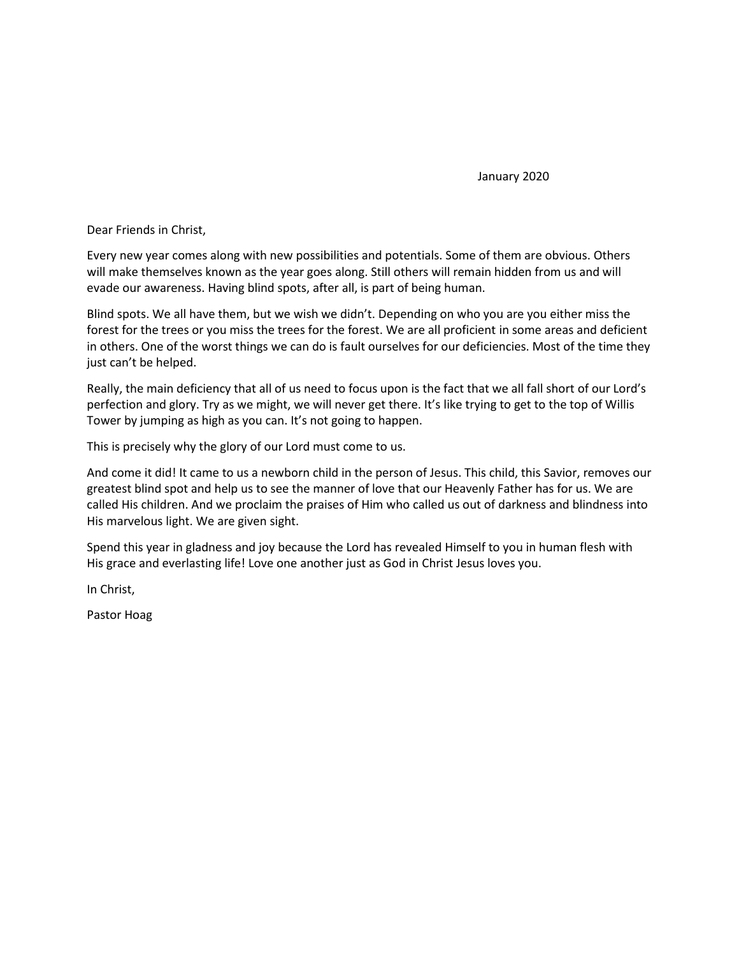January 2020

Dear Friends in Christ,

Every new year comes along with new possibilities and potentials. Some of them are obvious. Others will make themselves known as the year goes along. Still others will remain hidden from us and will evade our awareness. Having blind spots, after all, is part of being human.

Blind spots. We all have them, but we wish we didn't. Depending on who you are you either miss the forest for the trees or you miss the trees for the forest. We are all proficient in some areas and deficient in others. One of the worst things we can do is fault ourselves for our deficiencies. Most of the time they just can't be helped.

Really, the main deficiency that all of us need to focus upon is the fact that we all fall short of our Lord's perfection and glory. Try as we might, we will never get there. It's like trying to get to the top of Willis Tower by jumping as high as you can. It's not going to happen.

This is precisely why the glory of our Lord must come to us.

And come it did! It came to us a newborn child in the person of Jesus. This child, this Savior, removes our greatest blind spot and help us to see the manner of love that our Heavenly Father has for us. We are called His children. And we proclaim the praises of Him who called us out of darkness and blindness into His marvelous light. We are given sight.

Spend this year in gladness and joy because the Lord has revealed Himself to you in human flesh with His grace and everlasting life! Love one another just as God in Christ Jesus loves you.

In Christ,

Pastor Hoag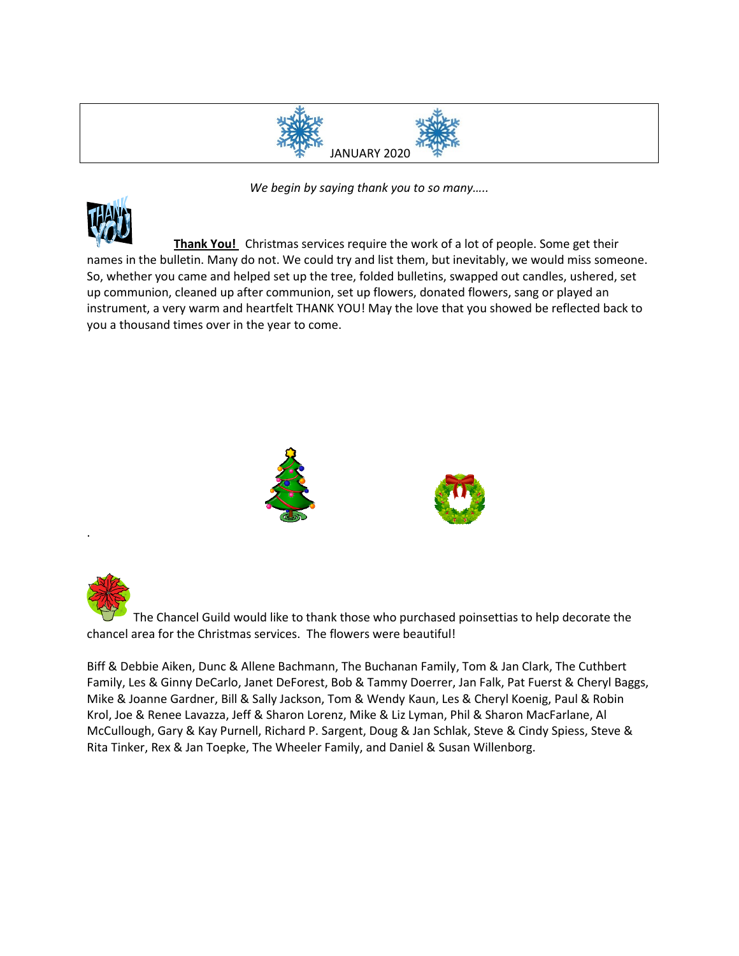

*We begin by saying thank you to so many…..*



.

**Thank You!** Christmas services require the work of a lot of people. Some get their names in the bulletin. Many do not. We could try and list them, but inevitably, we would miss someone. So, whether you came and helped set up the tree, folded bulletins, swapped out candles, ushered, set up communion, cleaned up after communion, set up flowers, donated flowers, sang or played an instrument, a very warm and heartfelt THANK YOU! May the love that you showed be reflected back to you a thousand times over in the year to come.



The Chancel Guild would like to thank those who purchased poinsettias to help decorate the chancel area for the Christmas services. The flowers were beautiful!

Biff & Debbie Aiken, Dunc & Allene Bachmann, The Buchanan Family, Tom & Jan Clark, The Cuthbert Family, Les & Ginny DeCarlo, Janet DeForest, Bob & Tammy Doerrer, Jan Falk, Pat Fuerst & Cheryl Baggs, Mike & Joanne Gardner, Bill & Sally Jackson, Tom & Wendy Kaun, Les & Cheryl Koenig, Paul & Robin Krol, Joe & Renee Lavazza, Jeff & Sharon Lorenz, Mike & Liz Lyman, Phil & Sharon MacFarlane, Al McCullough, Gary & Kay Purnell, Richard P. Sargent, Doug & Jan Schlak, Steve & Cindy Spiess, Steve & Rita Tinker, Rex & Jan Toepke, The Wheeler Family, and Daniel & Susan Willenborg.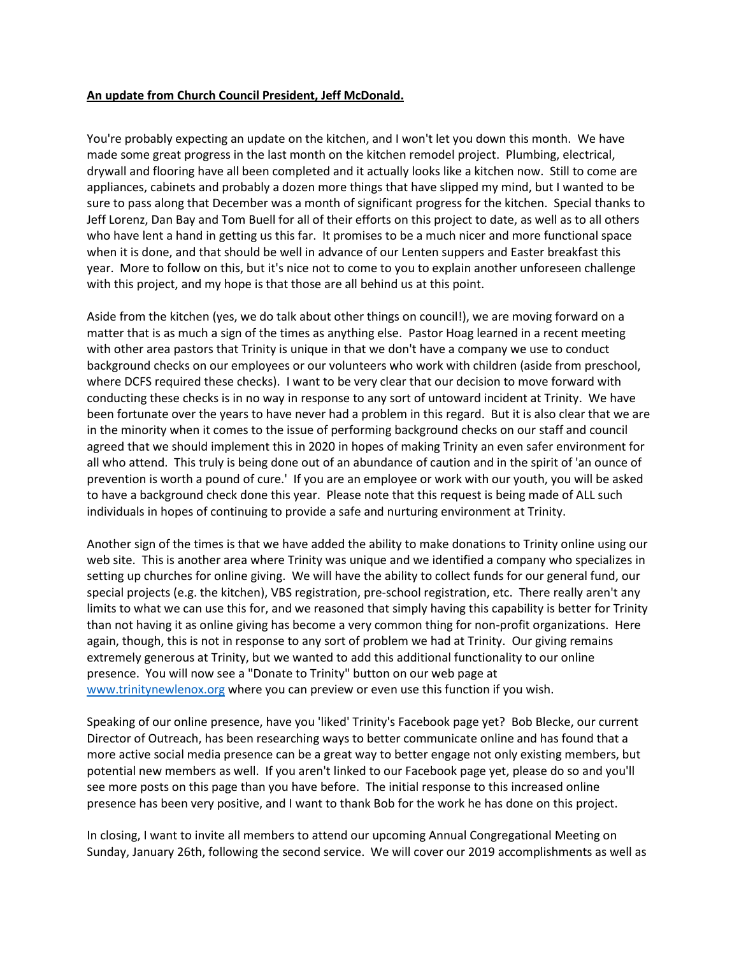### **An update from Church Council President, Jeff McDonald.**

You're probably expecting an update on the kitchen, and I won't let you down this month. We have made some great progress in the last month on the kitchen remodel project. Plumbing, electrical, drywall and flooring have all been completed and it actually looks like a kitchen now. Still to come are appliances, cabinets and probably a dozen more things that have slipped my mind, but I wanted to be sure to pass along that December was a month of significant progress for the kitchen. Special thanks to Jeff Lorenz, Dan Bay and Tom Buell for all of their efforts on this project to date, as well as to all others who have lent a hand in getting us this far. It promises to be a much nicer and more functional space when it is done, and that should be well in advance of our Lenten suppers and Easter breakfast this year. More to follow on this, but it's nice not to come to you to explain another unforeseen challenge with this project, and my hope is that those are all behind us at this point.

Aside from the kitchen (yes, we do talk about other things on council!), we are moving forward on a matter that is as much a sign of the times as anything else. Pastor Hoag learned in a recent meeting with other area pastors that Trinity is unique in that we don't have a company we use to conduct background checks on our employees or our volunteers who work with children (aside from preschool, where DCFS required these checks). I want to be very clear that our decision to move forward with conducting these checks is in no way in response to any sort of untoward incident at Trinity. We have been fortunate over the years to have never had a problem in this regard. But it is also clear that we are in the minority when it comes to the issue of performing background checks on our staff and council agreed that we should implement this in 2020 in hopes of making Trinity an even safer environment for all who attend. This truly is being done out of an abundance of caution and in the spirit of 'an ounce of prevention is worth a pound of cure.' If you are an employee or work with our youth, you will be asked to have a background check done this year. Please note that this request is being made of ALL such individuals in hopes of continuing to provide a safe and nurturing environment at Trinity.

Another sign of the times is that we have added the ability to make donations to Trinity online using our web site. This is another area where Trinity was unique and we identified a company who specializes in setting up churches for online giving. We will have the ability to collect funds for our general fund, our special projects (e.g. the kitchen), VBS registration, pre-school registration, etc. There really aren't any limits to what we can use this for, and we reasoned that simply having this capability is better for Trinity than not having it as online giving has become a very common thing for non-profit organizations. Here again, though, this is not in response to any sort of problem we had at Trinity. Our giving remains extremely generous at Trinity, but we wanted to add this additional functionality to our online presence. You will now see a "Donate to Trinity" button on our web page at [www.trinitynewlenox.org](http://www.trinitynewlenox.org/) where you can preview or even use this function if you wish.

Speaking of our online presence, have you 'liked' Trinity's Facebook page yet? Bob Blecke, our current Director of Outreach, has been researching ways to better communicate online and has found that a more active social media presence can be a great way to better engage not only existing members, but potential new members as well. If you aren't linked to our Facebook page yet, please do so and you'll see more posts on this page than you have before. The initial response to this increased online presence has been very positive, and I want to thank Bob for the work he has done on this project.

In closing, I want to invite all members to attend our upcoming Annual Congregational Meeting on Sunday, January 26th, following the second service. We will cover our 2019 accomplishments as well as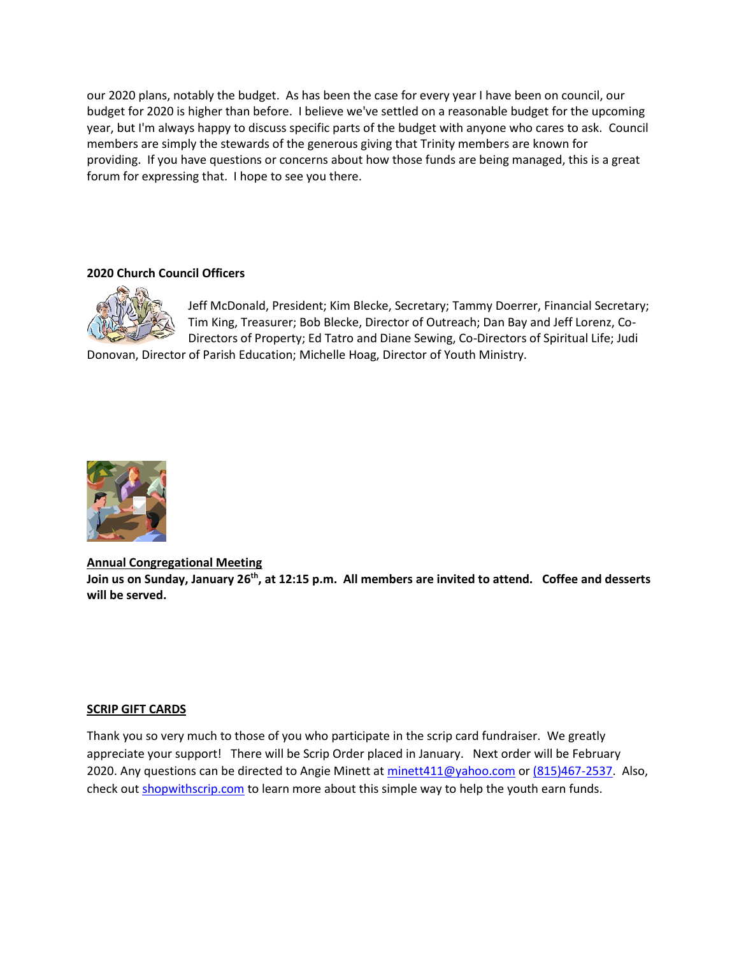our 2020 plans, notably the budget. As has been the case for every year I have been on council, our budget for 2020 is higher than before. I believe we've settled on a reasonable budget for the upcoming year, but I'm always happy to discuss specific parts of the budget with anyone who cares to ask. Council members are simply the stewards of the generous giving that Trinity members are known for providing. If you have questions or concerns about how those funds are being managed, this is a great forum for expressing that. I hope to see you there.

### **2020 Church Council Officers**



Jeff McDonald, President; Kim Blecke, Secretary; Tammy Doerrer, Financial Secretary; Tim King, Treasurer; Bob Blecke, Director of Outreach; Dan Bay and Jeff Lorenz, Co-Directors of Property; Ed Tatro and Diane Sewing, Co-Directors of Spiritual Life; Judi

Donovan, Director of Parish Education; Michelle Hoag, Director of Youth Ministry.



### **Annual Congregational Meeting**

**Join us on Sunday, January 26 th, at 12:15 p.m. All members are invited to attend. Coffee and desserts will be served.**

### **SCRIP GIFT CARDS**

Thank you so very much to those of you who participate in the scrip card fundraiser. We greatly appreciate your support! There will be Scrip Order placed in January. Next order will be February 2020. Any questions can be directed to Angie Minett at [minett411@yahoo.com](mailto:minett411@yahoo.com) or [\(815\)467-2537.](tel:(815)467-2537) Also, check out [shopwithscrip.com](http://shopwithscrip.com/) to learn more about this simple way to help the youth earn funds.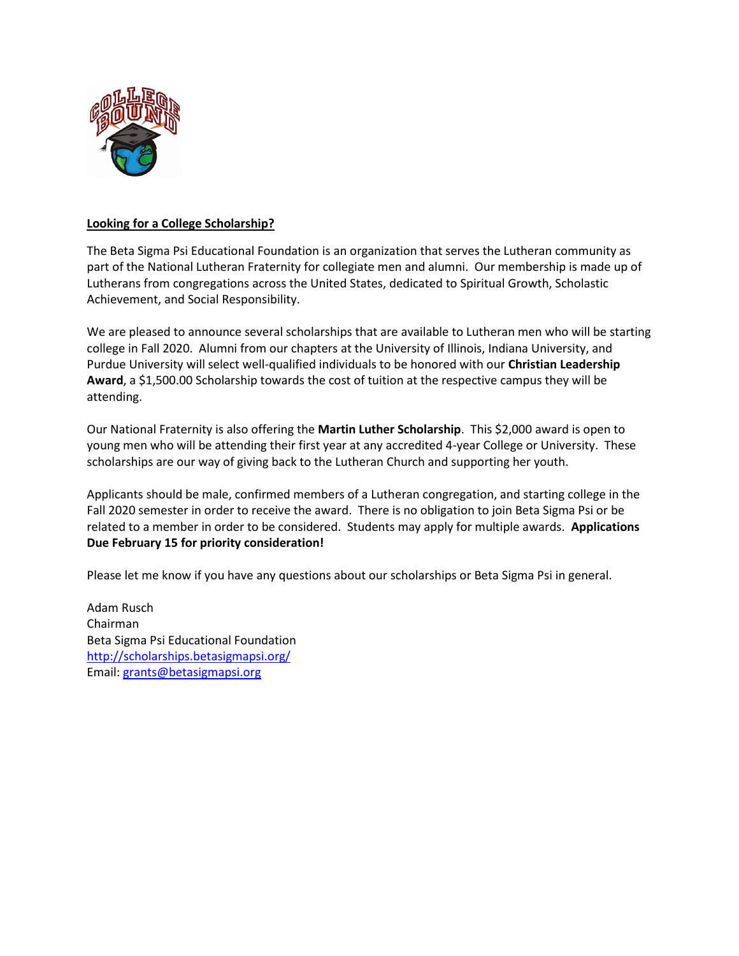

# **Looking for a College Scholarship?**

The Beta Sigma Psi Educational Foundation is an organization that serves the Lutheran community as part of the National Lutheran Fraternity for collegiate men and alumni. Our membership is made up of Lutherans from congregations across the United States, dedicated to Spiritual Growth, Scholastic Achievement, and Social Responsibility.

We are pleased to announce several scholarships that are available to Lutheran men who will be starting college in Fall 2020. Alumni from our chapters at the University of Illinois, Indiana University, and Purdue University will select well-qualified individuals to be honored with our **Christian Leadership Award**, a \$1,500.00 Scholarship towards the cost of tuition at the respective campus they will be attending.

Our National Fraternity is also offering the **Martin Luther Scholarship**. This \$2,000 award is open to young men who will be attending their first year at any accredited 4-year College or University. These scholarships are our way of giving back to the Lutheran Church and supporting her youth.

Applicants should be male, confirmed members of a Lutheran congregation, and starting college in the Fall 2020 semester in order to receive the award. There is no obligation to join Beta Sigma Psi or be related to a member in order to be considered. Students may apply for multiple awards. **Applications Due February 15 for priority consideration!**

Please let me know if you have any questions about our scholarships or Beta Sigma Psi in general.

Adam Rusch Chairman Beta Sigma Psi Educational Foundation <http://scholarships.betasigmapsi.org/> Email: [grants@betasigmapsi.org](mailto:grants@betasigmapsi.org)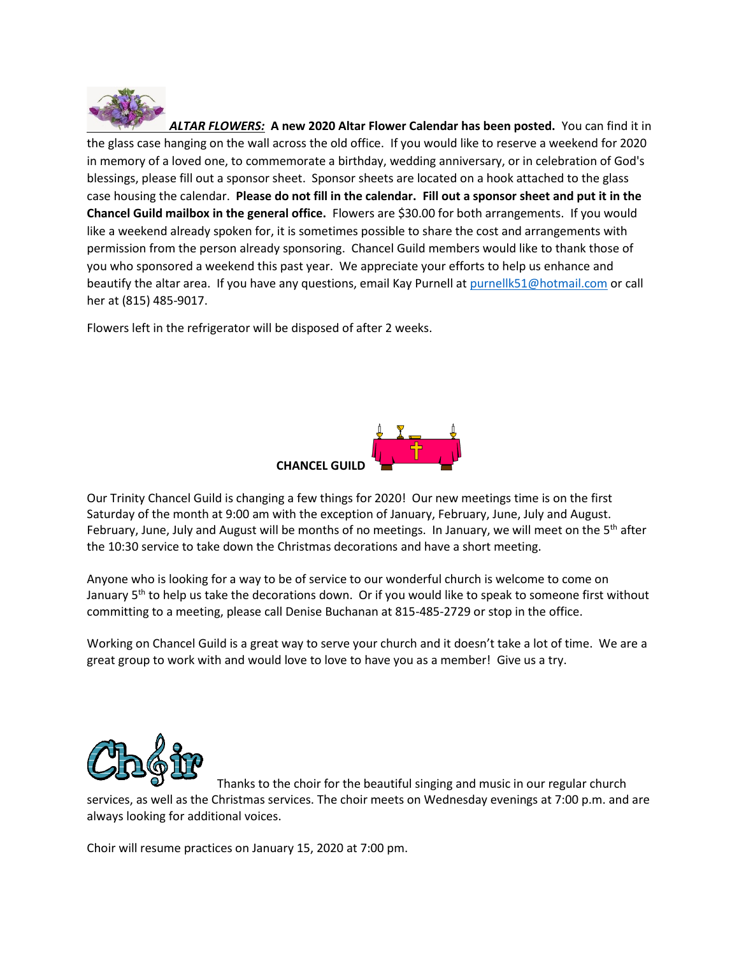

*ALTAR FLOWERS:* **A new 2020 Altar Flower Calendar has been posted.** You can find it in the glass case hanging on the wall across the old office. If you would like to reserve a weekend for 2020 in memory of a loved one, to commemorate a birthday, wedding anniversary, or in celebration of God's blessings, please fill out a sponsor sheet. Sponsor sheets are located on a hook attached to the glass case housing the calendar. **Please do not fill in the calendar. Fill out a sponsor sheet and put it in the Chancel Guild mailbox in the general office.** Flowers are \$30.00 for both arrangements. If you would like a weekend already spoken for, it is sometimes possible to share the cost and arrangements with permission from the person already sponsoring. Chancel Guild members would like to thank those of you who sponsored a weekend this past year. We appreciate your efforts to help us enhance and beautify the altar area. If you have any questions, email Kay Purnell at [purnellk51@hotmail.com](mailto:purnellk51@hotmail.com) or call her at (815) 485-9017.

Flowers left in the refrigerator will be disposed of after 2 weeks.



Our Trinity Chancel Guild is changing a few things for 2020! Our new meetings time is on the first Saturday of the month at 9:00 am with the exception of January, February, June, July and August. February, June, July and August will be months of no meetings. In January, we will meet on the 5<sup>th</sup> after the 10:30 service to take down the Christmas decorations and have a short meeting.

Anyone who is looking for a way to be of service to our wonderful church is welcome to come on January 5<sup>th</sup> to help us take the decorations down. Or if you would like to speak to someone first without committing to a meeting, please call Denise Buchanan at 815-485-2729 or stop in the office.

Working on Chancel Guild is a great way to serve your church and it doesn't take a lot of time. We are a great group to work with and would love to love to have you as a member! Give us a try.



Thanks to the choir for the beautiful singing and music in our regular church services, as well as the Christmas services. The choir meets on Wednesday evenings at 7:00 p.m. and are always looking for additional voices.

Choir will resume practices on January 15, 2020 at 7:00 pm.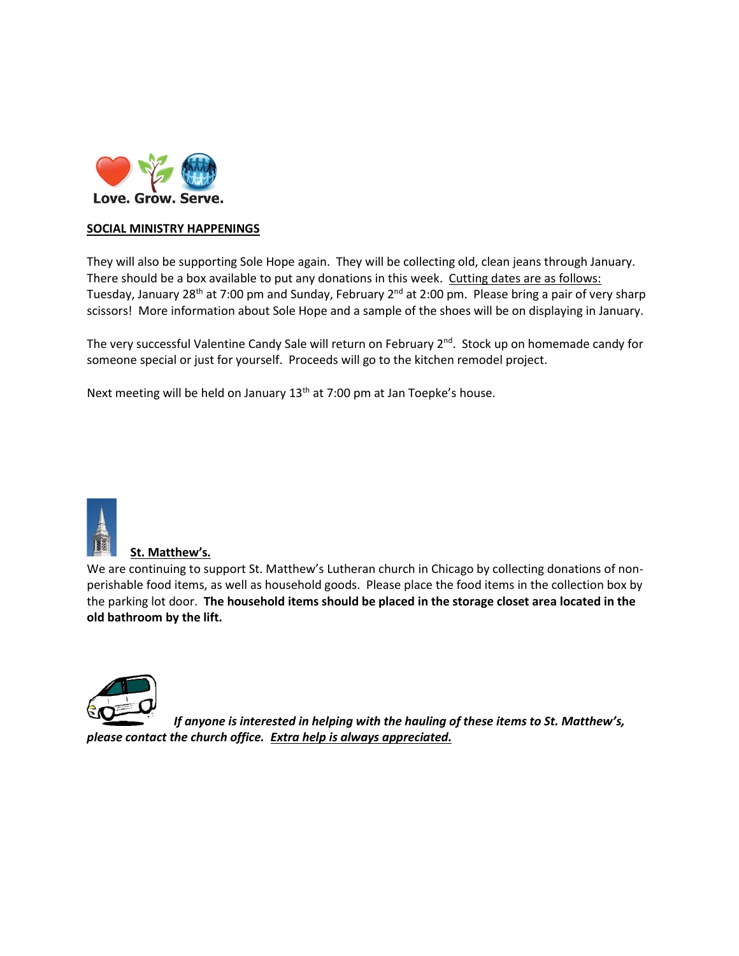

# **SOCIAL MINISTRY HAPPENINGS**

They will also be supporting Sole Hope again. They will be collecting old, clean jeans through January. There should be a box available to put any donations in this week. Cutting dates are as follows: Tuesday, January 28<sup>th</sup> at 7:00 pm and Sunday, February 2<sup>nd</sup> at 2:00 pm. Please bring a pair of very sharp scissors! More information about Sole Hope and a sample of the shoes will be on displaying in January.

The very successful Valentine Candy Sale will return on February 2<sup>nd</sup>. Stock up on homemade candy for someone special or just for yourself. Proceeds will go to the kitchen remodel project.

Next meeting will be held on January 13<sup>th</sup> at 7:00 pm at Jan Toepke's house.



### **St. Matthew's***.*

We are continuing to support St. Matthew's Lutheran church in Chicago by collecting donations of nonperishable food items, as well as household goods. Please place the food items in the collection box by the parking lot door. **The household items should be placed in the storage closet area located in the old bathroom by the lift.** 



*If anyone is interested in helping with the hauling of these items to St. Matthew's, please contact the church office. Extra help is always appreciated.*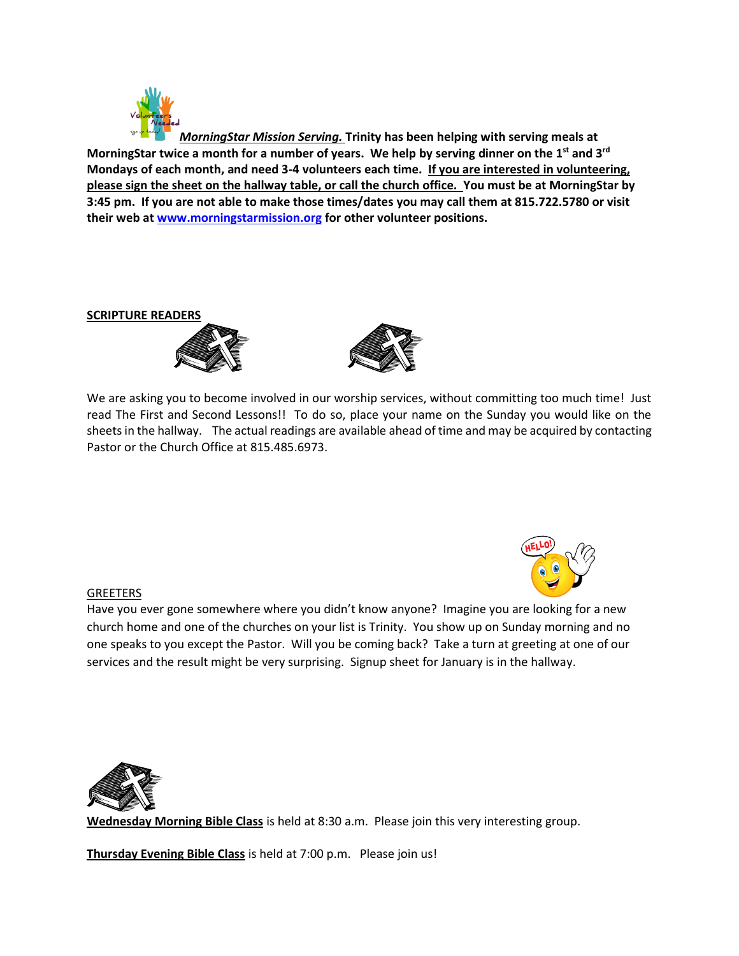

*MorningStar Mission Serving.* **Trinity has been helping with serving meals at MorningStar twice a month for a number of years. We help by serving dinner on the 1st and 3rd Mondays of each month, and need 3-4 volunteers each time. If you are interested in volunteering, please sign the sheet on the hallway table, or call the church office. You must be at MorningStar by 3:45 pm. If you are not able to make those times/dates you may call them at 815.722.5780 or visit their web at [www.morningstarmission.org](http://www.morningstarmission.org/) for other volunteer positions.** 

**SCRIPTURE READERS**





We are asking you to become involved in our worship services, without committing too much time! Just read The First and Second Lessons!! To do so, place your name on the Sunday you would like on the sheets in the hallway. The actual readings are available ahead of time and may be acquired by contacting Pastor or the Church Office at 815.485.6973.

## **GREETERS**

Have you ever gone somewhere where you didn't know anyone? Imagine you are looking for a new church home and one of the churches on your list is Trinity. You show up on Sunday morning and no one speaks to you except the Pastor. Will you be coming back? Take a turn at greeting at one of our services and the result might be very surprising. Signup sheet for January is in the hallway.



**Wednesday Morning Bible Class** is held at 8:30 a.m. Please join this very interesting group.

**Thursday Evening Bible Class** is held at 7:00 p.m. Please join us!